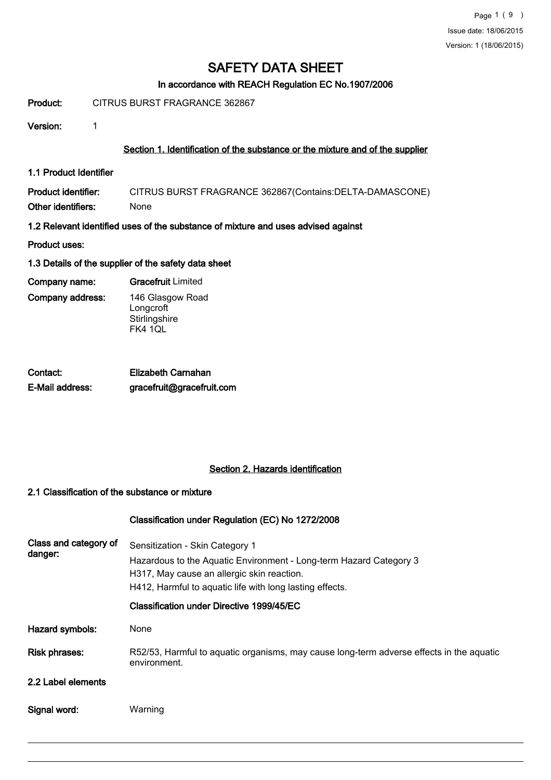# In accordance with REACH Regulation EC No.1907/2006

Product: CITRUS BURST FRAGRANCE 362867

Version: 1

# Section 1. Identification of the substance or the mixture and of the supplier

1.1 Product Identifier

Product identifier: CITRUS BURST FRAGRANCE 362867(Contains:DELTA-DAMASCONE) Other identifiers: None

- 1.2 Relevant identified uses of the substance of mixture and uses advised against
- Product uses:

# 1.3 Details of the supplier of the safety data sheet

Company name: Gracefruit Limited

Company address:

146 Glasgow Road **Longcroft Stirlingshire** 

FK4 1QL

| Contact:        | Elizabeth Carnahan        |
|-----------------|---------------------------|
| E-Mail address: | gracefruit@gracefruit.com |

# Section 2. Hazards identification

#### 2.1 Classification of the substance or mixture

#### Classification under Regulation (EC) No 1272/2008

| Class and category of<br>danger: | Sensitization - Skin Category 1<br>Hazardous to the Aquatic Environment - Long-term Hazard Category 3<br>H317, May cause an allergic skin reaction.<br>H412, Harmful to aquatic life with long lasting effects. |
|----------------------------------|-----------------------------------------------------------------------------------------------------------------------------------------------------------------------------------------------------------------|
|                                  | Classification under Directive 1999/45/EC                                                                                                                                                                       |
| Hazard symbols:                  | None                                                                                                                                                                                                            |
| <b>Risk phrases:</b>             | R52/53, Harmful to aquatic organisms, may cause long-term adverse effects in the aquatic<br>environment.                                                                                                        |
| 2.2 Label elements               |                                                                                                                                                                                                                 |
| Signal word:                     | Warning                                                                                                                                                                                                         |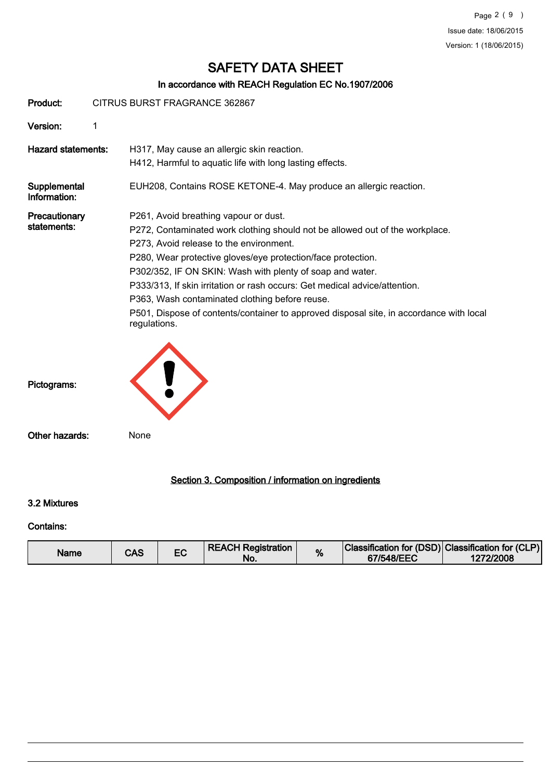# In accordance with REACH Regulation EC No.1907/2006

| Product:                     | CITRUS BURST FRAGRANCE 362867 |                                                                                                                                                                                                                                                                                                                                                                                                                                                                                                                                          |  |  |  |
|------------------------------|-------------------------------|------------------------------------------------------------------------------------------------------------------------------------------------------------------------------------------------------------------------------------------------------------------------------------------------------------------------------------------------------------------------------------------------------------------------------------------------------------------------------------------------------------------------------------------|--|--|--|
| Version:                     | 1                             |                                                                                                                                                                                                                                                                                                                                                                                                                                                                                                                                          |  |  |  |
| <b>Hazard statements:</b>    |                               | H317, May cause an allergic skin reaction.<br>H412, Harmful to aquatic life with long lasting effects.                                                                                                                                                                                                                                                                                                                                                                                                                                   |  |  |  |
| Supplemental<br>Information: |                               | EUH208, Contains ROSE KETONE-4. May produce an allergic reaction.                                                                                                                                                                                                                                                                                                                                                                                                                                                                        |  |  |  |
| Precautionary<br>statements: |                               | P261, Avoid breathing vapour or dust.<br>P272, Contaminated work clothing should not be allowed out of the workplace.<br>P273, Avoid release to the environment.<br>P280, Wear protective gloves/eye protection/face protection.<br>P302/352, IF ON SKIN: Wash with plenty of soap and water.<br>P333/313, If skin irritation or rash occurs: Get medical advice/attention.<br>P363, Wash contaminated clothing before reuse.<br>P501, Dispose of contents/container to approved disposal site, in accordance with local<br>regulations. |  |  |  |
| Pictograms:                  |                               |                                                                                                                                                                                                                                                                                                                                                                                                                                                                                                                                          |  |  |  |
| Other hazards:               |                               | None                                                                                                                                                                                                                                                                                                                                                                                                                                                                                                                                     |  |  |  |
|                              |                               | Section 3. Composition / information on ingredients                                                                                                                                                                                                                                                                                                                                                                                                                                                                                      |  |  |  |

#### 3.2 Mixtures

# Contains:

| Name | CAS |  | <b>REACH Registration</b><br>No. | % | Classification for (DSD) Classification for (CLP)<br>67/548/EEC | 1272/2008 |
|------|-----|--|----------------------------------|---|-----------------------------------------------------------------|-----------|
|------|-----|--|----------------------------------|---|-----------------------------------------------------------------|-----------|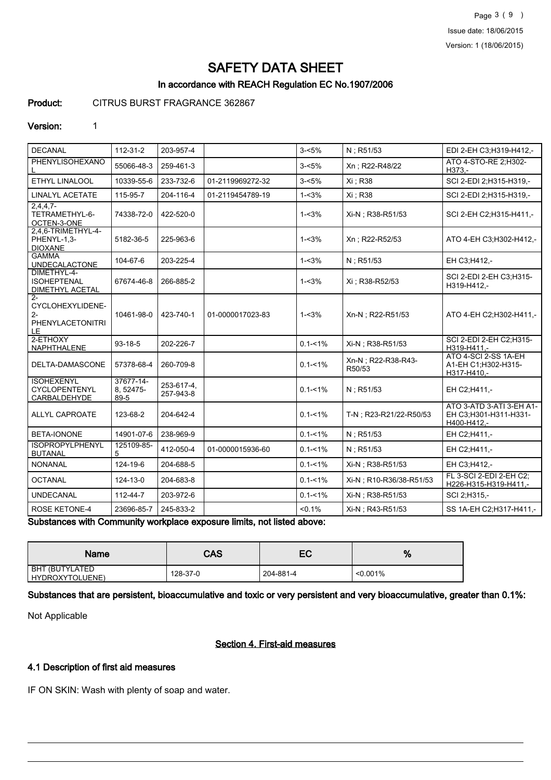Page 3 ( 9 ) Issue date: 18/06/2015 Version: 1 (18/06/2015)

# SAFETY DATA SHEET

# In accordance with REACH Regulation EC No.1907/2006

Product: CITRUS BURST FRAGRANCE 362867

#### Version: 1

| <b>DECANAL</b>                                                      | $112 - 31 - 2$                 | 203-957-4               |                                       | $3 - 5%$    | N; R51/53                     | EDI 2-EH C3:H319-H412,-                                          |
|---------------------------------------------------------------------|--------------------------------|-------------------------|---------------------------------------|-------------|-------------------------------|------------------------------------------------------------------|
| PHENYLISOHEXANO                                                     | 55066-48-3                     | 259-461-3               |                                       | $3 - 5%$    | Xn; R22-R48/22                | ATO 4-STO-RE 2:H302-<br>H373 -                                   |
| ETHYL LINALOOL                                                      | 10339-55-6                     | 233-732-6               | 01-2119969272-32                      | $3 - 5%$    | Xi ; R38                      | SCI 2-EDI 2;H315-H319,-                                          |
| <b>LINALYL ACETATE</b>                                              | 115-95-7                       | 204-116-4               | 01-2119454789-19                      | $1 - 3%$    | Xi : R38                      | SCI 2-EDI 2:H315-H319,-                                          |
| $2,4,4,7-$<br>TETRAMETHYL-6-<br>OCTEN-3-ONE                         | 74338-72-0                     | 422-520-0               |                                       | $1 - 3%$    | Xi-N ; R38-R51/53             | SCI 2-EH C2:H315-H411,-                                          |
| 2,4,6-TRIMETHYL-4-<br>PHENYL-1,3-<br><b>DIOXANE</b>                 | 5182-36-5                      | 225-963-6               |                                       | $1 - 3%$    | Xn: R22-R52/53                | ATO 4-EH C3:H302-H412,-                                          |
| <b>GAMMA</b><br><b>UNDECALACTONE</b>                                | 104-67-6                       | 203-225-4               |                                       | $1 - 3%$    | N: R51/53                     | EH C3:H412,-                                                     |
| DIMETHYL-4-<br><b>ISOHEPTENAL</b><br><b>DIMETHYL ACETAL</b>         | 67674-46-8                     | 266-885-2               |                                       | $1 - 3%$    | Xi: R38-R52/53                | SCI 2-EDI 2-EH C3;H315-<br>H319-H412,-                           |
| $2 -$<br>CYCLOHEXYLIDENE-<br>$2 -$<br><b>PHENYLACETONITRI</b><br>LE | 10461-98-0                     | 423-740-1               | 01-0000017023-83                      | $1 - 3%$    | Xn-N ; R22-R51/53             | ATO 4-EH C2;H302-H411,-                                          |
| 2-ETHOXY<br>NAPHTHALENE                                             | $93 - 18 - 5$                  | 202-226-7               |                                       | $0.1 - 1\%$ | Xi-N ; R38-R51/53             | SCI 2-EDI 2-EH C2:H315-<br>H319-H411 .-                          |
| DELTA-DAMASCONE                                                     | 57378-68-4                     | 260-709-8               |                                       | $0.1 - 1\%$ | Xn-N : R22-R38-R43-<br>R50/53 | ATO 4-SCI 2-SS 1A-EH<br>A1-EH C1:H302-H315-<br>H317-H410,-       |
| <b>ISOHEXENYL</b><br><b>CYCLOPENTENYL</b><br>CARBALDEHYDE           | 37677-14-<br>8, 52475-<br>89-5 | 253-617-4,<br>257-943-8 |                                       | $0.1 - 1\%$ | N: R51/53                     | EH C2:H411,-                                                     |
| <b>ALLYL CAPROATE</b>                                               | 123-68-2                       | 204-642-4               |                                       | $0.1 - 1\%$ | T-N: R23-R21/22-R50/53        | ATO 3-ATD 3-ATI 3-EH A1-<br>EH C3;H301-H311-H331-<br>H400-H412,- |
| <b>BETA-IONONE</b>                                                  | 14901-07-6                     | 238-969-9               |                                       | $0.1 - 1\%$ | N: R51/53                     | EH C2;H411,-                                                     |
| <b>ISOPROPYLPHENYL</b><br><b>BUTANAL</b>                            | 125109-85-<br>5                | 412-050-4               | 01-0000015936-60                      | $0.1 - 1\%$ | N: R51/53                     | EH C2;H411,-                                                     |
| <b>NONANAL</b>                                                      | 124-19-6                       | 204-688-5               |                                       | $0.1 - 1\%$ | Xi-N ; R38-R51/53             | EH C3;H412,-                                                     |
| <b>OCTANAL</b>                                                      | 124-13-0                       | 204-683-8               |                                       | $0.1 - 1\%$ | Xi-N ; R10-R36/38-R51/53      | FL 3-SCI 2-EDI 2-EH C2;<br>H226-H315-H319-H411,-                 |
| <b>UNDECANAL</b>                                                    | 112-44-7                       | 203-972-6               |                                       | $0.1 - 1\%$ | Xi-N ; R38-R51/53             | SCI 2; H315,-                                                    |
| <b>ROSE KETONE-4</b><br>Oritota a a a cultivo da accesso in item    | 23696-85-7                     | 245-833-2<br>د است      | <b>Basilia</b><br>والمراقب والمتعارفة | $< 0.1\%$   | Xi-N ; R43-R51/53             | SS 1A-EH C2:H317-H411,-                                          |

Substances with Community workplace exposure limits, not listed above:

| Name                              | CAS      | ⊏∩<br>cu  | %           |
|-----------------------------------|----------|-----------|-------------|
| BHT (BUTYLATED<br>HYDROXYTOLUENE) | 128-37-0 | 204-881-4 | $< 0.001\%$ |

Substances that are persistent, bioaccumulative and toxic or very persistent and very bioaccumulative, greater than 0.1%:

Not Applicable

# Section 4. First-aid measures

# 4.1 Description of first aid measures

IF ON SKIN: Wash with plenty of soap and water.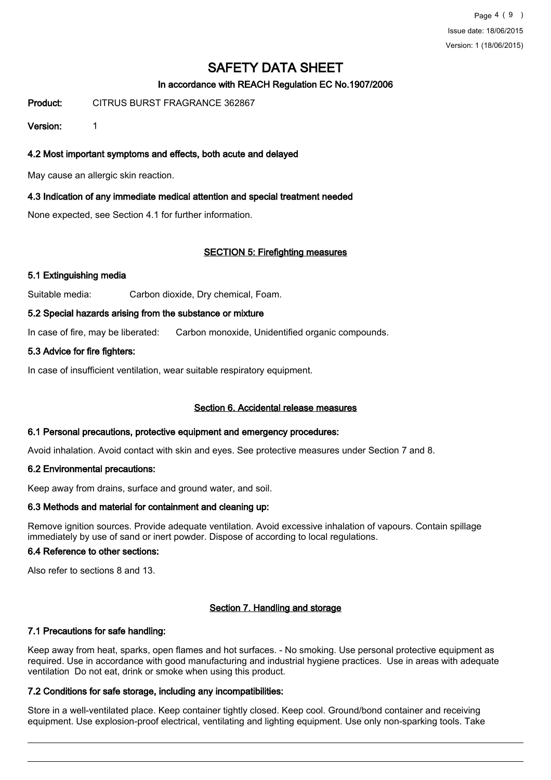Page 4 ( 9 ) Issue date: 18/06/2015 Version: 1 (18/06/2015)

# SAFETY DATA SHEET

# In accordance with REACH Regulation EC No.1907/2006

Product: CITRUS BURST FRAGRANCE 362867

Version: 1

4.2 Most important symptoms and effects, both acute and delayed

May cause an allergic skin reaction.

# 4.3 Indication of any immediate medical attention and special treatment needed

None expected, see Section 4.1 for further information.

# SECTION 5: Firefighting measures

# 5.1 Extinguishing media

Suitable media: Carbon dioxide, Dry chemical, Foam.

# 5.2 Special hazards arising from the substance or mixture

In case of fire, may be liberated: Carbon monoxide, Unidentified organic compounds.

# 5.3 Advice for fire fighters:

In case of insufficient ventilation, wear suitable respiratory equipment.

#### Section 6. Accidental release measures

#### 6.1 Personal precautions, protective equipment and emergency procedures:

Avoid inhalation. Avoid contact with skin and eyes. See protective measures under Section 7 and 8.

# 6.2 Environmental precautions:

Keep away from drains, surface and ground water, and soil.

# 6.3 Methods and material for containment and cleaning up:

Remove ignition sources. Provide adequate ventilation. Avoid excessive inhalation of vapours. Contain spillage immediately by use of sand or inert powder. Dispose of according to local regulations.

### 6.4 Reference to other sections:

Also refer to sections 8 and 13.

# Section 7. Handling and storage

# 7.1 Precautions for safe handling:

Keep away from heat, sparks, open flames and hot surfaces. - No smoking. Use personal protective equipment as required. Use in accordance with good manufacturing and industrial hygiene practices. Use in areas with adequate ventilation Do not eat, drink or smoke when using this product.

# 7.2 Conditions for safe storage, including any incompatibilities:

Store in a well-ventilated place. Keep container tightly closed. Keep cool. Ground/bond container and receiving equipment. Use explosion-proof electrical, ventilating and lighting equipment. Use only non-sparking tools. Take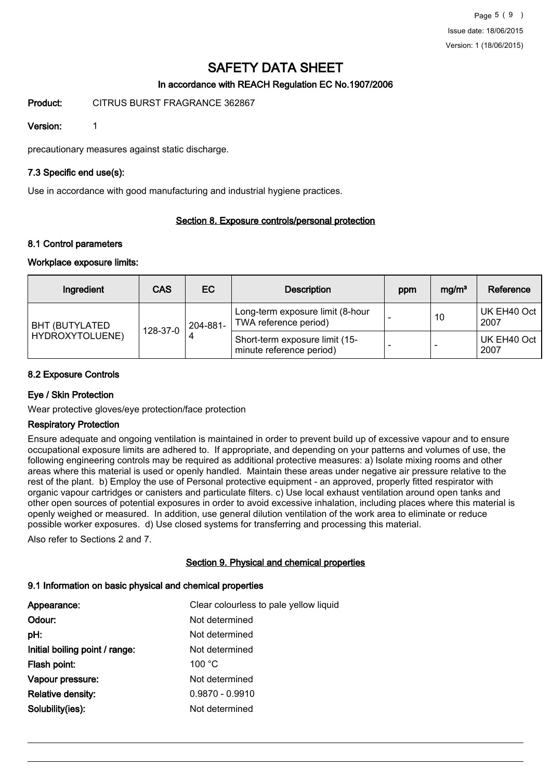# In accordance with REACH Regulation EC No.1907/2006

Product: CITRUS BURST FRAGRANCE 362867

Version: 1

precautionary measures against static discharge.

# 7.3 Specific end use(s):

Use in accordance with good manufacturing and industrial hygiene practices.

# Section 8. Exposure controls/personal protection

#### 8.1 Control parameters

# Workplace exposure limits:

| Ingredient             | <b>CAS</b> | <b>EC</b> | <b>Description</b>                                         | ppm | mg/m <sup>3</sup> | Reference           |
|------------------------|------------|-----------|------------------------------------------------------------|-----|-------------------|---------------------|
| <b>BHT (BUTYLATED)</b> | 128-37-0   | 204-881-  | Long-term exposure limit (8-hour<br>TWA reference period)  |     | 10                | UK EH40 Oct<br>2007 |
| HYDROXYTOLUENE)        |            |           | Short-term exposure limit (15-<br>minute reference period) |     |                   | UK EH40 Oct<br>2007 |

# 8.2 Exposure Controls

# Eye / Skin Protection

Wear protective gloves/eye protection/face protection

### Respiratory Protection

Ensure adequate and ongoing ventilation is maintained in order to prevent build up of excessive vapour and to ensure occupational exposure limits are adhered to. If appropriate, and depending on your patterns and volumes of use, the following engineering controls may be required as additional protective measures: a) Isolate mixing rooms and other areas where this material is used or openly handled. Maintain these areas under negative air pressure relative to the rest of the plant. b) Employ the use of Personal protective equipment - an approved, properly fitted respirator with organic vapour cartridges or canisters and particulate filters. c) Use local exhaust ventilation around open tanks and other open sources of potential exposures in order to avoid excessive inhalation, including places where this material is openly weighed or measured. In addition, use general dilution ventilation of the work area to eliminate or reduce possible worker exposures. d) Use closed systems for transferring and processing this material.

Also refer to Sections 2 and 7.

#### Section 9. Physical and chemical properties

# 9.1 Information on basic physical and chemical properties

| Appearance:                    | Clear colourless to pale yellow liquid |
|--------------------------------|----------------------------------------|
| Odour:                         | Not determined                         |
| pH:                            | Not determined                         |
| Initial boiling point / range: | Not determined                         |
| Flash point:                   | 100 °C                                 |
| Vapour pressure:               | Not determined                         |
| <b>Relative density:</b>       | $0.9870 - 0.9910$                      |
| Solubility(ies):               | Not determined                         |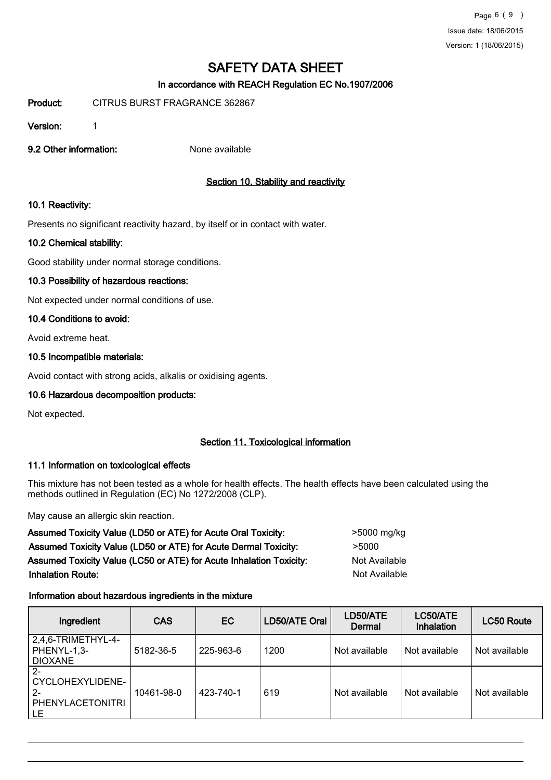# In accordance with REACH Regulation EC No.1907/2006

Product: CITRUS BURST FRAGRANCE 362867

Version: 1

9.2 Other information: None available

# Section 10. Stability and reactivity

# 10.1 Reactivity:

Presents no significant reactivity hazard, by itself or in contact with water.

# 10.2 Chemical stability:

Good stability under normal storage conditions.

# 10.3 Possibility of hazardous reactions:

Not expected under normal conditions of use.

# 10.4 Conditions to avoid:

Avoid extreme heat.

# 10.5 Incompatible materials:

Avoid contact with strong acids, alkalis or oxidising agents.

# 10.6 Hazardous decomposition products:

Not expected.

# Section 11. Toxicological information

# 11.1 Information on toxicological effects

This mixture has not been tested as a whole for health effects. The health effects have been calculated using the methods outlined in Regulation (EC) No 1272/2008 (CLP).

May cause an allergic skin reaction.

Assumed Toxicity Value (LD50 or ATE) for Acute Oral Toxicity:  $>$ 5000 mg/kg Assumed Toxicity Value (LD50 or ATE) for Acute Dermal Toxicity: > 5000 Assumed Toxicity Value (LC50 or ATE) for Acute Inhalation Toxicity: Not Available **Inhalation Route:** Not Available in the United States of Available in the United States of Available in the United States of Available in the United States of Available in the United States of Available in the United Stat

# Information about hazardous ingredients in the mixture

| Ingredient                                                          | <b>CAS</b> | <b>EC</b> | LD50/ATE Oral | LD50/ATE<br>Dermal | LC50/ATE<br>Inhalation | LC50 Route    |
|---------------------------------------------------------------------|------------|-----------|---------------|--------------------|------------------------|---------------|
| 2,4,6-TRIMETHYL-4-<br>PHENYL-1,3-<br><b>DIOXANE</b>                 | 5182-36-5  | 225-963-6 | 1200          | Not available      | Not available          | Not available |
| $2 -$<br>CYCLOHEXYLIDENE-<br>$2 -$<br><b>PHENYLACETONITRI</b><br>LE | 10461-98-0 | 423-740-1 | 619           | Not available      | Not available          | Not available |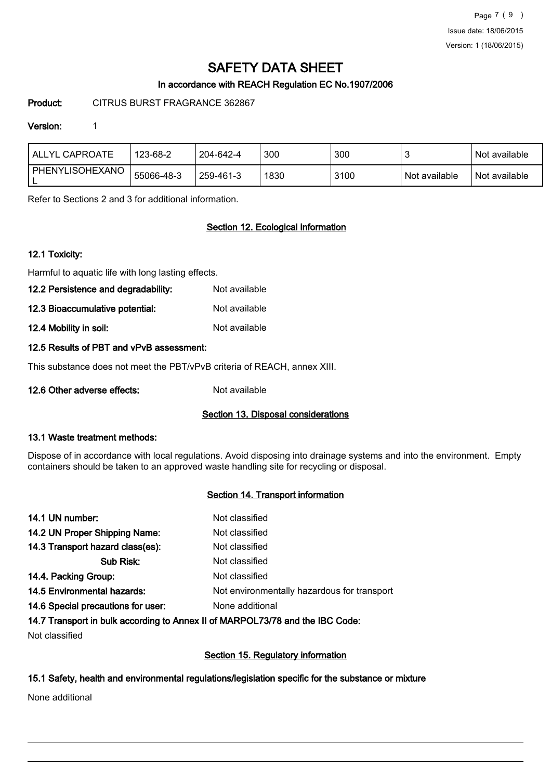Page 7 ( 9 ) Issue date: 18/06/2015 Version: 1 (18/06/2015)

# SAFETY DATA SHEET

# In accordance with REACH Regulation EC No.1907/2006

Product: CITRUS BURST FRAGRANCE 362867

# Version: 1

| <b>ALLYL CAPROATE</b> | 123-68-2   | 204-642-4 | 300  | 300  |               | Not available |
|-----------------------|------------|-----------|------|------|---------------|---------------|
| PHENYLISOHEXANO<br>_  | 55066-48-3 | 259-461-3 | 1830 | 3100 | Not available | Not available |

Refer to Sections 2 and 3 for additional information.

# Section 12. Ecological information

# 12.1 Toxicity:

Harmful to aquatic life with long lasting effects.

- 12.2 Persistence and degradability: Not available
- 12.3 Bioaccumulative potential: Not available
- 12.4 Mobility in soil: Not available

# 12.5 Results of PBT and vPvB assessment:

This substance does not meet the PBT/vPvB criteria of REACH, annex XIII.

12.6 Other adverse effects: Not available

#### Section 13. Disposal considerations

#### 13.1 Waste treatment methods:

Dispose of in accordance with local regulations. Avoid disposing into drainage systems and into the environment. Empty containers should be taken to an approved waste handling site for recycling or disposal.

# Section 14. Transport information

| 14.1 UN number:                    | Not classified                              |
|------------------------------------|---------------------------------------------|
| 14.2 UN Proper Shipping Name:      | Not classified                              |
| 14.3 Transport hazard class(es):   | Not classified                              |
| Sub Risk:                          | Not classified                              |
| 14.4. Packing Group:               | Not classified                              |
| 14.5 Environmental hazards:        | Not environmentally hazardous for transport |
| 14.6 Special precautions for user: | None additional                             |
|                                    |                                             |

# 14.7 Transport in bulk according to Annex II of MARPOL73/78 and the IBC Code:

Not classified

# Section 15. Regulatory information

# 15.1 Safety, health and environmental regulations/legislation specific for the substance or mixture

None additional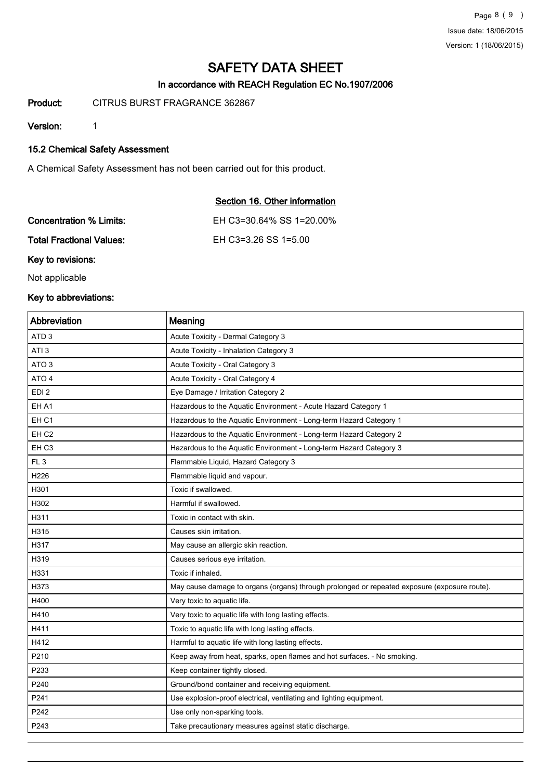# In accordance with REACH Regulation EC No.1907/2006

Product: CITRUS BURST FRAGRANCE 362867

Version: 1

# 15.2 Chemical Safety Assessment

A Chemical Safety Assessment has not been carried out for this product.

| Section 16. Other information |
|-------------------------------|
| EH C3=30.64% SS 1=20.00%      |
| EH C3=3.26 SS 1=5.00          |
|                               |

Key to revisions:

Not applicable

# Key to abbreviations:

| Abbreviation     | Meaning                                                                                      |
|------------------|----------------------------------------------------------------------------------------------|
| ATD <sub>3</sub> | Acute Toxicity - Dermal Category 3                                                           |
| ATI <sub>3</sub> | Acute Toxicity - Inhalation Category 3                                                       |
| ATO <sub>3</sub> | Acute Toxicity - Oral Category 3                                                             |
| ATO 4            | Acute Toxicity - Oral Category 4                                                             |
| EDI <sub>2</sub> | Eye Damage / Irritation Category 2                                                           |
| EH A1            | Hazardous to the Aquatic Environment - Acute Hazard Category 1                               |
| EH <sub>C1</sub> | Hazardous to the Aquatic Environment - Long-term Hazard Category 1                           |
| EH <sub>C2</sub> | Hazardous to the Aquatic Environment - Long-term Hazard Category 2                           |
| EH <sub>C3</sub> | Hazardous to the Aquatic Environment - Long-term Hazard Category 3                           |
| FL <sub>3</sub>  | Flammable Liquid, Hazard Category 3                                                          |
| H226             | Flammable liquid and vapour.                                                                 |
| H301             | Toxic if swallowed.                                                                          |
| H302             | Harmful if swallowed.                                                                        |
| H311             | Toxic in contact with skin.                                                                  |
| H315             | Causes skin irritation.                                                                      |
| H317             | May cause an allergic skin reaction.                                                         |
| H319             | Causes serious eye irritation.                                                               |
| H331             | Toxic if inhaled.                                                                            |
| H373             | May cause damage to organs (organs) through prolonged or repeated exposure (exposure route). |
| H400             | Very toxic to aquatic life.                                                                  |
| H410             | Very toxic to aquatic life with long lasting effects.                                        |
| H411             | Toxic to aquatic life with long lasting effects.                                             |
| H412             | Harmful to aquatic life with long lasting effects.                                           |
| P210             | Keep away from heat, sparks, open flames and hot surfaces. - No smoking.                     |
| P233             | Keep container tightly closed.                                                               |
| P240             | Ground/bond container and receiving equipment.                                               |
| P241             | Use explosion-proof electrical, ventilating and lighting equipment.                          |
| P242             | Use only non-sparking tools.                                                                 |
| P243             | Take precautionary measures against static discharge.                                        |